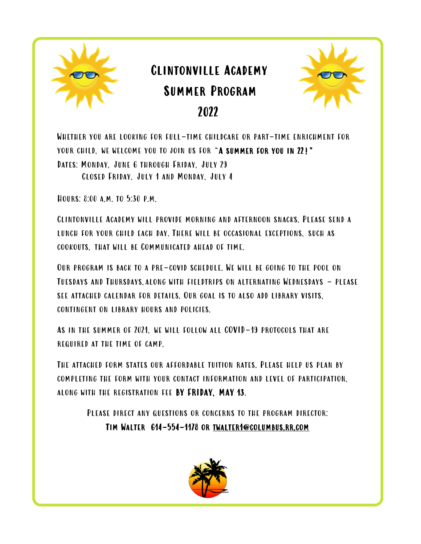

# Clintonville Academy Summer Program 2022



Whether you are looking for full-time childcare or part-time enrichment for your child, we welcome you to join us for "A summer for you in 22!" Dates: Monday, June 6 through Friday, July 29 Closed Friday, July 1 and Monday, July 4

Hours: 8:00 a.m. to 5:30 p.m.

Clintonville Academy will provide morning and afternoon snacks. Please send a lunch for your child each day. There will be occasional exceptions, such as cookouts, that will be Communicated ahead of time.

Our program is back to a pre-covid schedule. We will be going to the pool on Tuesdays and Thursdays,along with fieldtrips on alternating Wednesdays - please see attached calendar for details. Our goal is to also add library visits, contingent on library hours and policies.

As in the summer of 2021, we will follow all COVID-19 protocols that are required at the time of camp.

The attached form states our affordable tuition rates. Please help us plan by completing the form with your contact information and level of participation, along with the registration fee BY FRIDAY, MAY 13.

> Please direct any questions or concerns to the program director: Tim Walter 614-554-1178 or twalter1@columbus.rr.com

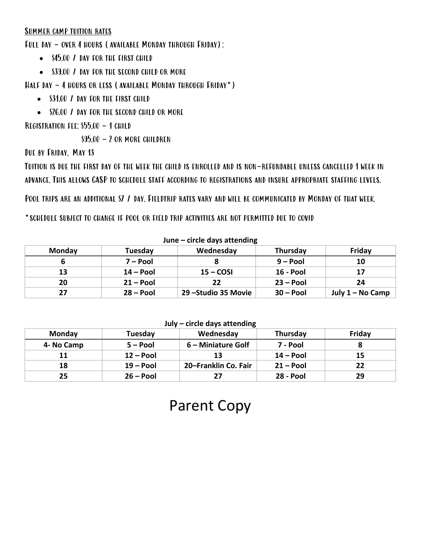## Summer camp tuition rates

Full day – over 4 hours (available Monday through Friday):

- \$45.00 / DAY FOR THE FIRST CHILD
- \$39.00 / DAY FOR THE SECOND CHILD OR MORE

Half day – 4 hours or less (available Monday through Friday\*)

- \$31.00 / DAY FOR THE FIRST CHILD
- \$26.00 / DAY FOR THE SECOND CHILD OR MORE

## Registration fee: \$55.00 – 1 child

 $$95.00 - 2$  or more children

Due by Friday, May 13

Tuition is due the first day of the week the child is enrolled and is non-refundable unless cancelled 1 week in advance. This allows CASP to schedule staff according to registrations and insure appropriate staffing levels.

Pool trips are an additional \$7 / day. Fieldtrip rates vary and will be communicated by Monday of that week.

\*schedule subject to change if pool or field trip activities are not permitted due to covid

| JUIL<br><b>CHULC URAS ALLCHUILLE</b> |             |                      |                  |                  |
|--------------------------------------|-------------|----------------------|------------------|------------------|
| <b>Monday</b>                        | Tuesday     | Wednesday            | Thursday         | Friday           |
|                                      | $7 - Pool$  |                      | $9 - Pool$       | 10               |
| 13                                   | $14 - Pool$ | $15 - COSI$          | <b>16 - Pool</b> | 17               |
| 20                                   | $21 - Pool$ | 22                   | $23 - Pool$      | 24               |
| 27                                   | $28 - Pool$ | 29 - Studio 35 Movie | $30 - Pool$      | July 1 – No Camp |

#### **June – circle days attending**

#### **July – circle days attending**

| <b>Monday</b> | Tuesday     | Wednesday            | Thursday         | Friday |
|---------------|-------------|----------------------|------------------|--------|
| 4- No Camp    | $5 - Pool$  | 6 – Miniature Golf   | 7 - Pool         |        |
|               | $12 - Pool$ | 13                   | 14 – Pool        | 15     |
| 18            | $19 - Pool$ | 20-Franklin Co. Fair | $21 - Pool$      | 22     |
| 25            | $26 - Pool$ |                      | <b>28 - Pool</b> | 29     |

## Parent Copy